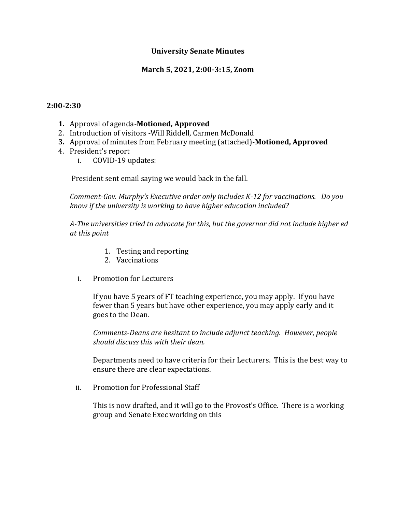### **University Senate Minutes**

### **March 5, 2021, 2:00-3:15, Zoom**

#### **2:00-2:30**

- **1.** Approval of agenda-**Motioned, Approved**
- 2. Introduction of visitors -Will Riddell, Carmen McDonald
- **3.** Approval of minutes from February meeting (attached)-**Motioned, Approved**
- 4. President's report
	- i. COVID-19 updates:

President sent email saying we would back in the fall.

*Comment-Gov. Murphy's Executive order only includes K-12 for vaccinations. Do you know if the university is working to have higher education included?*

*A-The universities tried to advocate for this, but the governor did not include higher ed at this point*

- 1. Testing and reporting
- 2. Vaccinations
- i. Promotion for Lecturers

If you have 5 years of FT teaching experience, you may apply. If you have fewer than 5 years but have other experience, you may apply early and it goes to the Dean.

*Comments-Deans are hesitant to include adjunct teaching. However, people should discuss this with their dean.*

Departments need to have criteria for their Lecturers. This is the best way to ensure there are clear expectations.

ii. Promotion for Professional Staff

This is now drafted, and it will go to the Provost's Office. There is a working group and Senate Exec working on this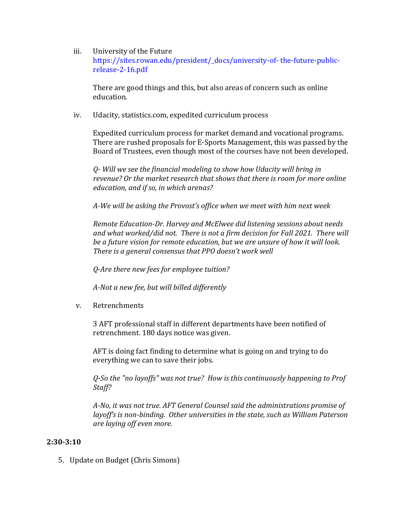#### iii. University of the Future

https://sites.rowan.edu/president/\_docs/university-of- the-future-publicrelease-2-16.pdf

There are good things and this, but also areas of concern such as online education.

iv. Udacity, statistics.com, expedited curriculum process

Expedited curriculum process for market demand and vocational programs. There are rushed proposals for E-Sports Management, this was passed by the Board of Trustees, even though most of the courses have not been developed.

*Q- Will we see the financial modeling to show how Udacity will bring in revenue? Or the market research that shows that there is room for more online education, and if so, in which arenas?*

*A-We will be asking the Provost's office when we meet with him next week* 

*Remote Education-Dr. Harvey and McElwee did listening sessions about needs and what worked/did not. There is not a firm decision for Fall 2021. There will be a future vision for remote education, but we are unsure of how it will look. There is a general consensus that PPO doesn't work well*

*Q-Are there new fees for employee tuition?*

*A-Not a new fee, but will billed differently*

v. Retrenchments

3 AFT professional staff in different departments have been notified of retrenchment. 180 days notice was given.

AFT is doing fact finding to determine what is going on and trying to do everything we can to save their jobs.

*Q-So the "no layoffs" was not true? How is this continuously happening to Prof Staff?*

*A-No, it was not true. AFT General Counsel said the administrations promise of layoff's is non-binding. Other universities in the state, such as William Paterson are laying off even more.* 

## **2:30-3:10**

5. Update on Budget (Chris Simons)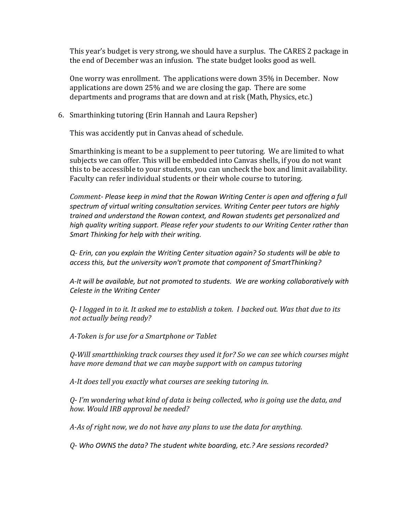This year's budget is very strong, we should have a surplus. The CARES 2 package in the end of December was an infusion. The state budget looks good as well.

One worry was enrollment. The applications were down 35% in December. Now applications are down 25% and we are closing the gap. There are some departments and programs that are down and at risk (Math, Physics, etc.)

#### 6. Smarthinking tutoring (Erin Hannah and Laura Repsher)

This was accidently put in Canvas ahead of schedule.

Smarthinking is meant to be a supplement to peer tutoring. We are limited to what subjects we can offer. This will be embedded into Canvas shells, if you do not want this to be accessible to your students, you can uncheck the box and limit availability. Faculty can refer individual students or their whole course to tutoring.

*Comment- Please keep in mind that the Rowan Writing Center is open and offering a full spectrum of virtual writing consultation services. Writing Center peer tutors are highly trained and understand the Rowan context, and Rowan students get personalized and high quality writing support. Please refer your students to our Writing Center rather than Smart Thinking for help with their writing.*

*Q- Erin, can you explain the Writing Center situation again? So students will be able to access this, but the university won't promote that component of SmartThinking?*

*A-It will be available, but not promoted to students. We are working collaboratively with Celeste in the Writing Center*

*Q- I logged in to it. It asked me to establish a token. I backed out. Was that due to its not actually being ready?*

*A-Token is for use for a Smartphone or Tablet*

*Q-Will smartthinking track courses they used it for? So we can see which courses might have more demand that we can maybe support with on campus tutoring*

*A-It does tell you exactly what courses are seeking tutoring in.* 

*Q- I'm wondering what kind of data is being collected, who is going use the data, and how. Would IRB approval be needed?*

*A-As of right now, we do not have any plans to use the data for anything.*

*Q- Who OWNS the data? The student white boarding, etc.? Are sessions recorded?*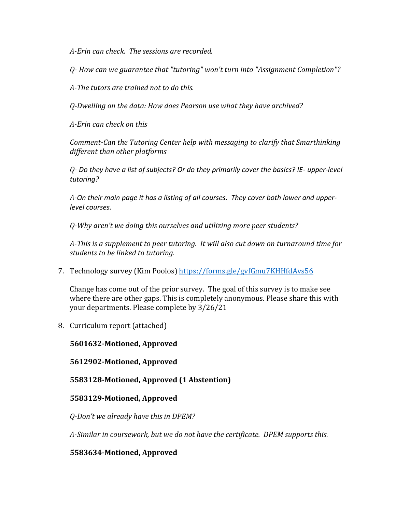*A-Erin can check. The sessions are recorded.* 

*Q- How can we guarantee that "tutoring" won't turn into "Assignment Completion"?*

*A-The tutors are trained not to do this.* 

*Q-Dwelling on the data: How does Pearson use what they have archived?*

*A-Erin can check on this*

*Comment-Can the Tutoring Center help with messaging to clarify that Smarthinking different than other platforms*

*Q- Do they have a list of subjects? Or do they primarily cover the basics? IE- upper-level tutoring?*

*A-On their main page it has a listing of all courses. They cover both lower and upperlevel courses.* 

*Q-Why aren't we doing this ourselves and utilizing more peer students?*

*A-This is a supplement to peer tutoring. It will also cut down on turnaround time for students to be linked to tutoring.* 

7. Technology survey (Kim Poolos)<https://forms.gle/gvfGmu7KHHfdAvs56>

Change has come out of the prior survey. The goal of this survey is to make see where there are other gaps. This is completely anonymous. Please share this with your departments. Please complete by 3/26/21

8. Curriculum report (attached)

## **5601632-Motioned, Approved**

### **5612902-Motioned, Approved**

## **5583128-Motioned, Approved (1 Abstention)**

### **5583129-Motioned, Approved**

*Q-Don't we already have this in DPEM?*

*A-Similar in coursework, but we do not have the certificate. DPEM supports this.* 

## **5583634-Motioned, Approved**